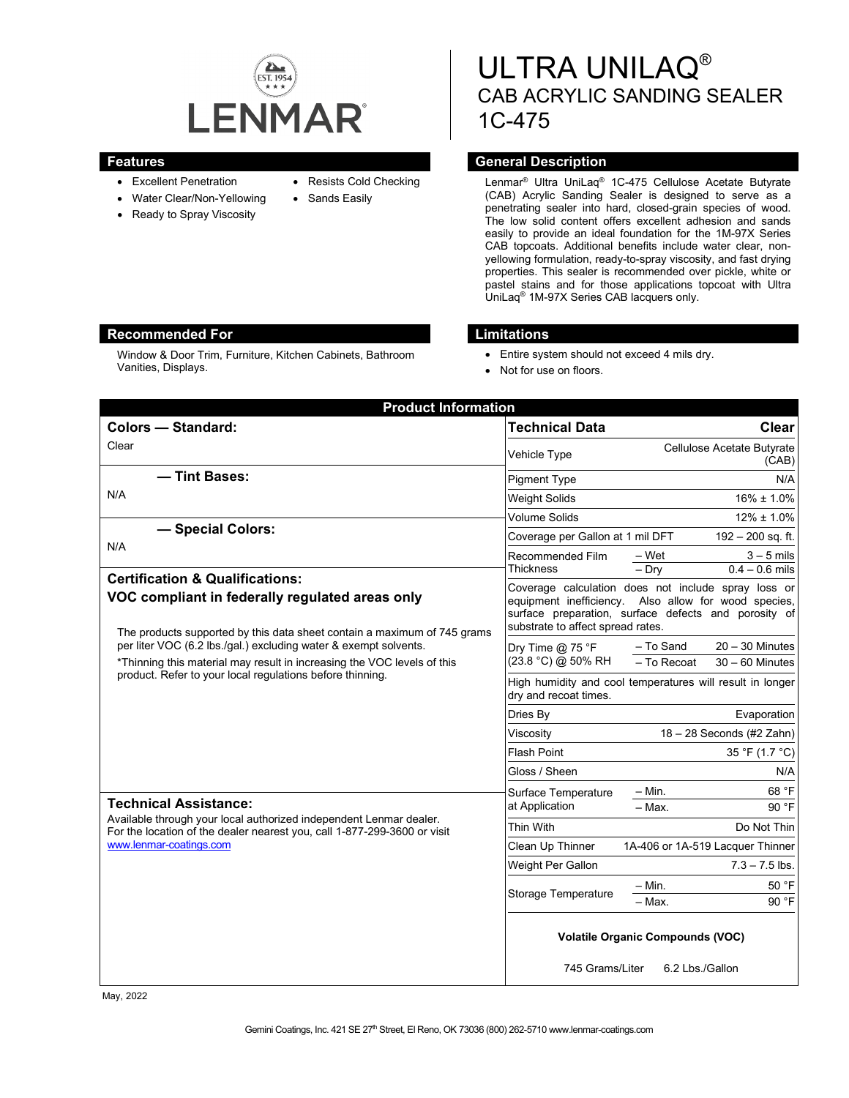

- Excellent Penetration
- Water Clear/Non-Yellowing
- Ready to Spray Viscosity
- Resists Cold Checking
- 
- Sands Easily

# ULTRA UNILAQ® CAB ACRYLIC SANDING SEALER 1C-475

# **Features General Description**

Lenmar® Ultra UniLaq® 1C-475 Cellulose Acetate Butyrate (CAB) Acrylic Sanding Sealer is designed to serve as a penetrating sealer into hard, closed-grain species of wood. The low solid content offers excellent adhesion and sands easily to provide an ideal foundation for the 1M-97X Series CAB topcoats. Additional benefits include water clear, nonyellowing formulation, ready-to-spray viscosity, and fast drying properties. This sealer is recommended over pickle, white or pastel stains and for those applications topcoat with Ultra UniLaq® 1M-97X Series CAB lacquers only.

#### **Recommended For Limitations**

Window & Door Trim, Furniture, Kitchen Cabinets, Bathroom Vanities, Displays.

- Entire system should not exceed 4 mils dry.
- Not for use on floors.

| <b>Product Information</b>                                                                                                                                                                                                                                                                                                                                                                                                                                                                                                                                                                         |                                                                                                                                                                                                          |                                                                    |
|----------------------------------------------------------------------------------------------------------------------------------------------------------------------------------------------------------------------------------------------------------------------------------------------------------------------------------------------------------------------------------------------------------------------------------------------------------------------------------------------------------------------------------------------------------------------------------------------------|----------------------------------------------------------------------------------------------------------------------------------------------------------------------------------------------------------|--------------------------------------------------------------------|
| <b>Colors - Standard:</b>                                                                                                                                                                                                                                                                                                                                                                                                                                                                                                                                                                          | <b>Technical Data</b>                                                                                                                                                                                    | <b>Clear</b>                                                       |
| Clear                                                                                                                                                                                                                                                                                                                                                                                                                                                                                                                                                                                              | Vehicle Type                                                                                                                                                                                             | Cellulose Acetate Butyrate<br>(CAB)                                |
| - Tint Bases:                                                                                                                                                                                                                                                                                                                                                                                                                                                                                                                                                                                      | <b>Pigment Type</b>                                                                                                                                                                                      | N/A                                                                |
| N/A                                                                                                                                                                                                                                                                                                                                                                                                                                                                                                                                                                                                | <b>Weight Solids</b>                                                                                                                                                                                     | $16\% \pm 1.0\%$                                                   |
| - Special Colors:<br>N/A                                                                                                                                                                                                                                                                                                                                                                                                                                                                                                                                                                           | <b>Volume Solids</b>                                                                                                                                                                                     | $12\% \pm 1.0\%$                                                   |
|                                                                                                                                                                                                                                                                                                                                                                                                                                                                                                                                                                                                    | Coverage per Gallon at 1 mil DFT                                                                                                                                                                         | 192 - 200 sq. ft.                                                  |
|                                                                                                                                                                                                                                                                                                                                                                                                                                                                                                                                                                                                    | Recommended Film<br><b>Thickness</b>                                                                                                                                                                     | – Wet<br>$3 - 5$ mils<br>$-$ Dry<br>$0.4 - 0.6$ mils               |
| <b>Certification &amp; Qualifications:</b><br>VOC compliant in federally regulated areas only<br>The products supported by this data sheet contain a maximum of 745 grams<br>per liter VOC (6.2 lbs./gal.) excluding water & exempt solvents.<br>*Thinning this material may result in increasing the VOC levels of this<br>product. Refer to your local regulations before thinning.<br><b>Technical Assistance:</b><br>Available through your local authorized independent Lenmar dealer.<br>For the location of the dealer nearest you, call 1-877-299-3600 or visit<br>www.lenmar-coatings.com | Coverage calculation does not include spray loss or<br>equipment inefficiency. Also allow for wood species,<br>surface preparation, surface defects and porosity of<br>substrate to affect spread rates. |                                                                    |
|                                                                                                                                                                                                                                                                                                                                                                                                                                                                                                                                                                                                    | Dry Time $@$ 75 °F<br>(23.8 °C) @ 50% RH                                                                                                                                                                 | - To Sand<br>$20 - 30$ Minutes<br>- To Recoat<br>$30 - 60$ Minutes |
|                                                                                                                                                                                                                                                                                                                                                                                                                                                                                                                                                                                                    | High humidity and cool temperatures will result in longer<br>dry and recoat times.                                                                                                                       |                                                                    |
|                                                                                                                                                                                                                                                                                                                                                                                                                                                                                                                                                                                                    | Dries By                                                                                                                                                                                                 | Evaporation                                                        |
|                                                                                                                                                                                                                                                                                                                                                                                                                                                                                                                                                                                                    | Viscosity                                                                                                                                                                                                | $18 - 28$ Seconds (#2 Zahn)                                        |
|                                                                                                                                                                                                                                                                                                                                                                                                                                                                                                                                                                                                    | <b>Flash Point</b>                                                                                                                                                                                       | 35 °F (1.7 °C)                                                     |
|                                                                                                                                                                                                                                                                                                                                                                                                                                                                                                                                                                                                    | Gloss / Sheen                                                                                                                                                                                            | N/A                                                                |
|                                                                                                                                                                                                                                                                                                                                                                                                                                                                                                                                                                                                    | Surface Temperature<br>at Application                                                                                                                                                                    | $-$ Min.<br>68 °F<br>$-$ Max.<br>90 °F                             |
|                                                                                                                                                                                                                                                                                                                                                                                                                                                                                                                                                                                                    | Thin With                                                                                                                                                                                                | Do Not Thin                                                        |
|                                                                                                                                                                                                                                                                                                                                                                                                                                                                                                                                                                                                    | Clean Up Thinner                                                                                                                                                                                         | 1A-406 or 1A-519 Lacquer Thinner                                   |
|                                                                                                                                                                                                                                                                                                                                                                                                                                                                                                                                                                                                    | Weight Per Gallon                                                                                                                                                                                        | $7.3 - 7.5$ lbs.                                                   |
|                                                                                                                                                                                                                                                                                                                                                                                                                                                                                                                                                                                                    | <b>Storage Temperature</b>                                                                                                                                                                               | $-$ Min.<br>50 °F<br>90 °F<br>- Max.                               |
|                                                                                                                                                                                                                                                                                                                                                                                                                                                                                                                                                                                                    | <b>Volatile Organic Compounds (VOC)</b><br>745 Grams/Liter<br>6.2 Lbs./Gallon                                                                                                                            |                                                                    |

May, 2022